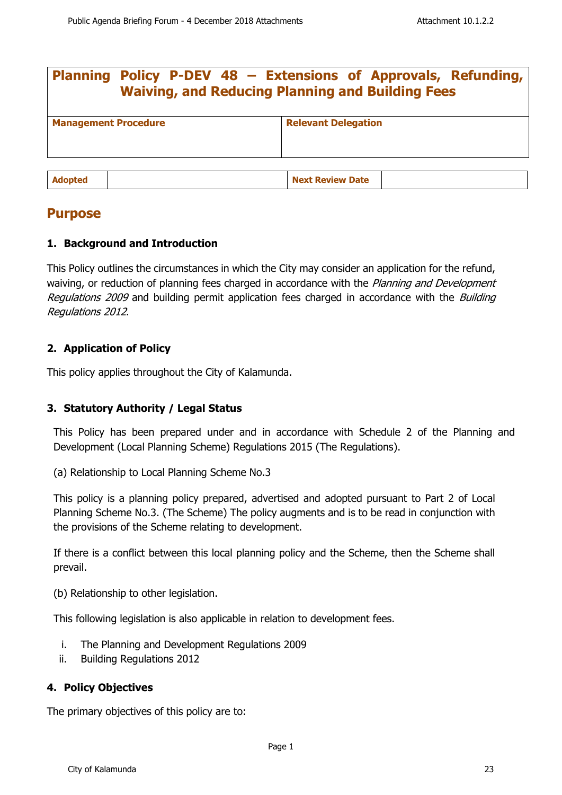| Planning Policy P-DEV 48 - Extensions of Approvals, Refunding,<br><b>Waiving, and Reducing Planning and Building Fees</b> |  |                            |  |  |
|---------------------------------------------------------------------------------------------------------------------------|--|----------------------------|--|--|
| <b>Management Procedure</b>                                                                                               |  | <b>Relevant Delegation</b> |  |  |
| <b>Adopted</b>                                                                                                            |  | <b>Next Review Date</b>    |  |  |

# **Purpose**

# **1. Background and Introduction**

This Policy outlines the circumstances in which the City may consider an application for the refund, waiving, or reduction of planning fees charged in accordance with the Planning and Development Regulations 2009 and building permit application fees charged in accordance with the Building Regulations 2012.

# **2. Application of Policy**

This policy applies throughout the City of Kalamunda.

# **3. Statutory Authority / Legal Status**

This Policy has been prepared under and in accordance with Schedule 2 of the Planning and Development (Local Planning Scheme) Regulations 2015 (The Regulations).

(a) Relationship to Local Planning Scheme No.3

This policy is a planning policy prepared, advertised and adopted pursuant to Part 2 of Local Planning Scheme No.3. (The Scheme) The policy augments and is to be read in conjunction with the provisions of the Scheme relating to development.

If there is a conflict between this local planning policy and the Scheme, then the Scheme shall prevail.

(b) Relationship to other legislation.

This following legislation is also applicable in relation to development fees.

- i. The Planning and Development Regulations 2009
- ii. Building Regulations 2012

# **4. Policy Objectives**

The primary objectives of this policy are to: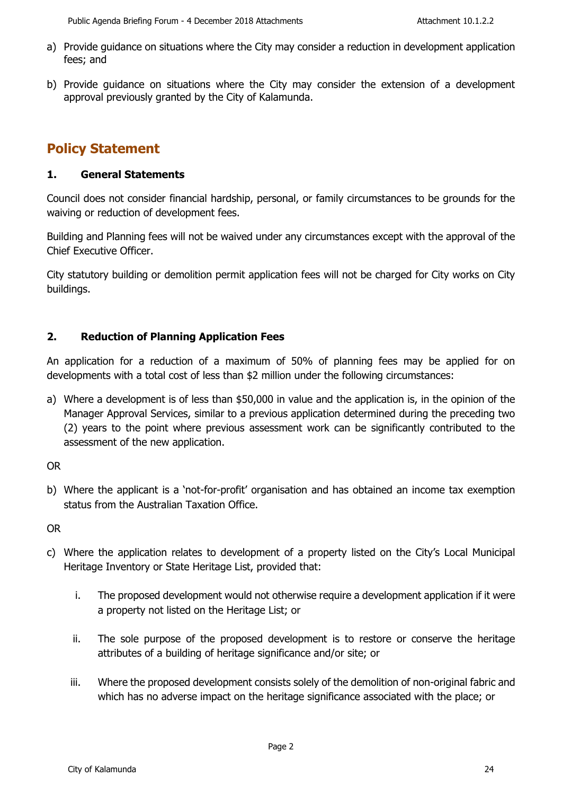- a) Provide guidance on situations where the City may consider a reduction in development application fees; and
- b) Provide guidance on situations where the City may consider the extension of a development approval previously granted by the City of Kalamunda.

# **Policy Statement**

## **1. General Statements**

Council does not consider financial hardship, personal, or family circumstances to be grounds for the waiving or reduction of development fees.

Building and Planning fees will not be waived under any circumstances except with the approval of the Chief Executive Officer.

City statutory building or demolition permit application fees will not be charged for City works on City buildings.

# **2. Reduction of Planning Application Fees**

An application for a reduction of a maximum of 50% of planning fees may be applied for on developments with a total cost of less than \$2 million under the following circumstances:

a) Where a development is of less than \$50,000 in value and the application is, in the opinion of the Manager Approval Services, similar to a previous application determined during the preceding two (2) years to the point where previous assessment work can be significantly contributed to the assessment of the new application.

OR

b) Where the applicant is a 'not-for-profit' organisation and has obtained an income tax exemption status from the Australian Taxation Office.

OR

- c) Where the application relates to development of a property listed on the City's Local Municipal Heritage Inventory or State Heritage List, provided that:
	- i. The proposed development would not otherwise require a development application if it were a property not listed on the Heritage List; or
	- ii. The sole purpose of the proposed development is to restore or conserve the heritage attributes of a building of heritage significance and/or site; or
	- iii. Where the proposed development consists solely of the demolition of non-original fabric and which has no adverse impact on the heritage significance associated with the place; or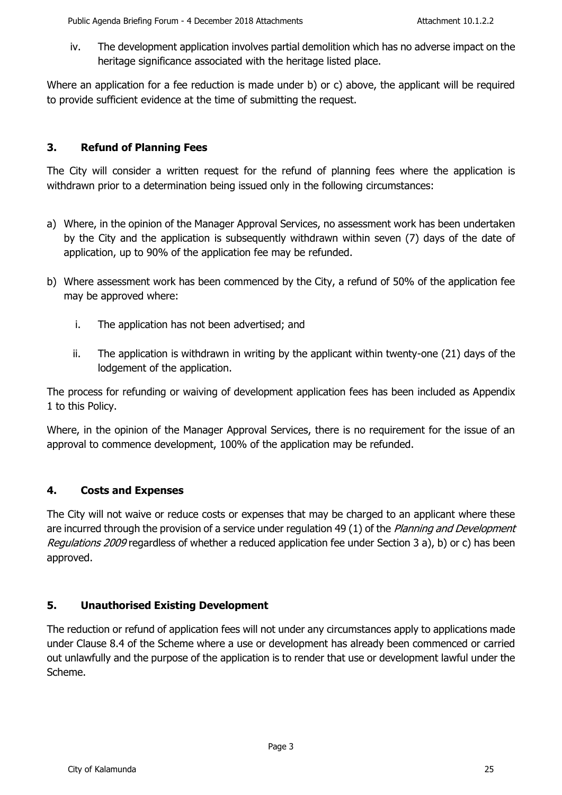iv. The development application involves partial demolition which has no adverse impact on the heritage significance associated with the heritage listed place.

Where an application for a fee reduction is made under b) or c) above, the applicant will be required to provide sufficient evidence at the time of submitting the request.

# **3. Refund of Planning Fees**

The City will consider a written request for the refund of planning fees where the application is withdrawn prior to a determination being issued only in the following circumstances:

- a) Where, in the opinion of the Manager Approval Services, no assessment work has been undertaken by the City and the application is subsequently withdrawn within seven (7) days of the date of application, up to 90% of the application fee may be refunded.
- b) Where assessment work has been commenced by the City, a refund of 50% of the application fee may be approved where:
	- i. The application has not been advertised; and
	- ii. The application is withdrawn in writing by the applicant within twenty-one (21) days of the lodgement of the application.

The process for refunding or waiving of development application fees has been included as Appendix 1 to this Policy.

Where, in the opinion of the Manager Approval Services, there is no requirement for the issue of an approval to commence development, 100% of the application may be refunded.

# **4. Costs and Expenses**

The City will not waive or reduce costs or expenses that may be charged to an applicant where these are incurred through the provision of a service under regulation 49 (1) of the Planning and Development Regulations 2009 regardless of whether a reduced application fee under Section 3 a), b) or c) has been approved.

# **5. Unauthorised Existing Development**

The reduction or refund of application fees will not under any circumstances apply to applications made under Clause 8.4 of the Scheme where a use or development has already been commenced or carried out unlawfully and the purpose of the application is to render that use or development lawful under the Scheme.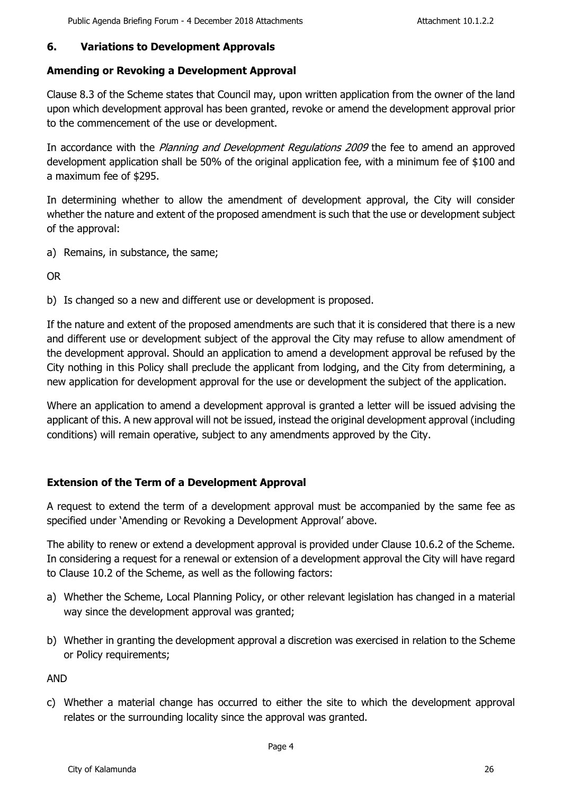# **6. Variations to Development Approvals**

# **Amending or Revoking a Development Approval**

Clause 8.3 of the Scheme states that Council may, upon written application from the owner of the land upon which development approval has been granted, revoke or amend the development approval prior to the commencement of the use or development.

In accordance with the *Planning and Development Regulations 2009* the fee to amend an approved development application shall be 50% of the original application fee, with a minimum fee of \$100 and a maximum fee of \$295.

In determining whether to allow the amendment of development approval, the City will consider whether the nature and extent of the proposed amendment is such that the use or development subject of the approval:

a) Remains, in substance, the same;

OR

b) Is changed so a new and different use or development is proposed.

If the nature and extent of the proposed amendments are such that it is considered that there is a new and different use or development subject of the approval the City may refuse to allow amendment of the development approval. Should an application to amend a development approval be refused by the City nothing in this Policy shall preclude the applicant from lodging, and the City from determining, a new application for development approval for the use or development the subject of the application.

Where an application to amend a development approval is granted a letter will be issued advising the applicant of this. A new approval will not be issued, instead the original development approval (including conditions) will remain operative, subject to any amendments approved by the City.

# **Extension of the Term of a Development Approval**

A request to extend the term of a development approval must be accompanied by the same fee as specified under 'Amending or Revoking a Development Approval' above.

The ability to renew or extend a development approval is provided under Clause 10.6.2 of the Scheme. In considering a request for a renewal or extension of a development approval the City will have regard to Clause 10.2 of the Scheme, as well as the following factors:

- a) Whether the Scheme, Local Planning Policy, or other relevant legislation has changed in a material way since the development approval was granted;
- b) Whether in granting the development approval a discretion was exercised in relation to the Scheme or Policy requirements;

AND

c) Whether a material change has occurred to either the site to which the development approval relates or the surrounding locality since the approval was granted.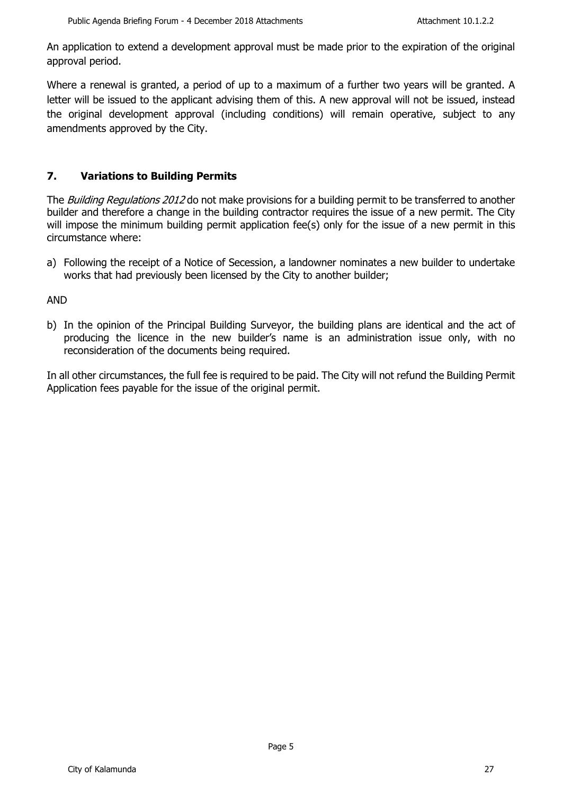An application to extend a development approval must be made prior to the expiration of the original approval period.

Where a renewal is granted, a period of up to a maximum of a further two years will be granted. A letter will be issued to the applicant advising them of this. A new approval will not be issued, instead the original development approval (including conditions) will remain operative, subject to any amendments approved by the City.

# **7. Variations to Building Permits**

The Building Regulations 2012 do not make provisions for a building permit to be transferred to another builder and therefore a change in the building contractor requires the issue of a new permit. The City will impose the minimum building permit application fee(s) only for the issue of a new permit in this circumstance where:

a) Following the receipt of a Notice of Secession, a landowner nominates a new builder to undertake works that had previously been licensed by the City to another builder;

### AND

b) In the opinion of the Principal Building Surveyor, the building plans are identical and the act of producing the licence in the new builder's name is an administration issue only, with no reconsideration of the documents being required.

In all other circumstances, the full fee is required to be paid. The City will not refund the Building Permit Application fees payable for the issue of the original permit.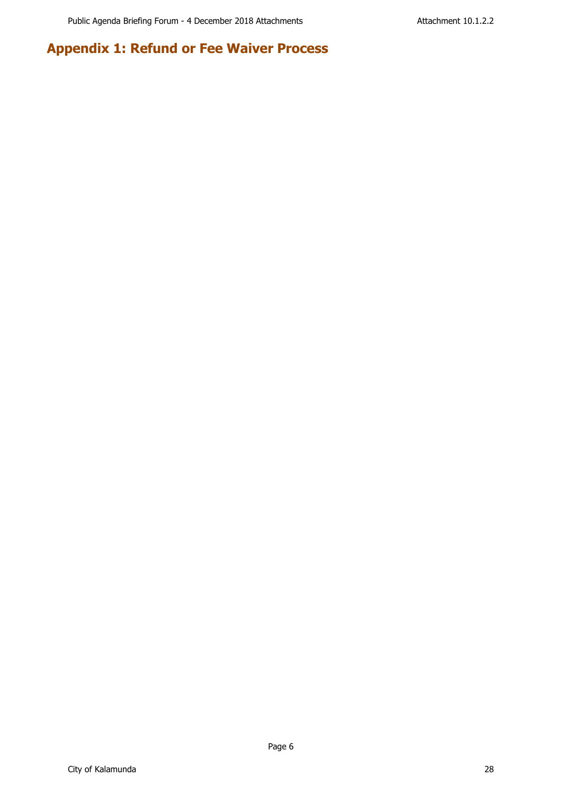# **Appendix 1: Refund or Fee Waiver Process**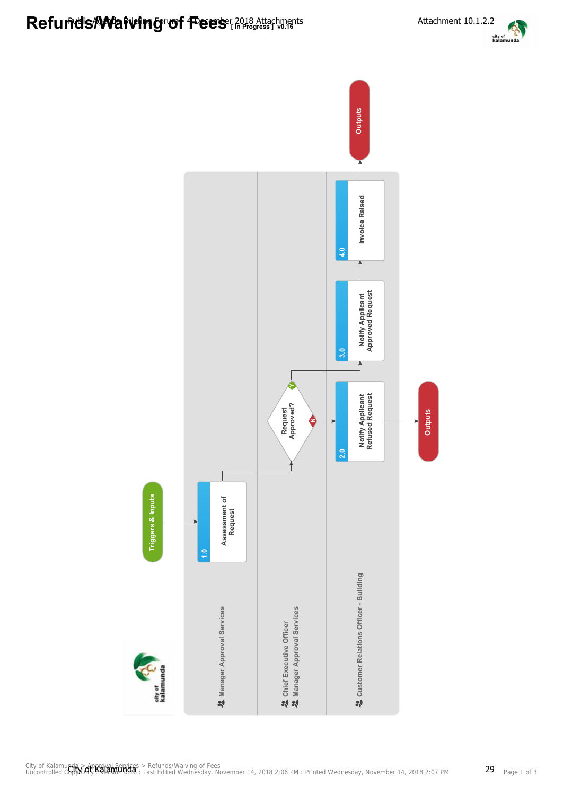

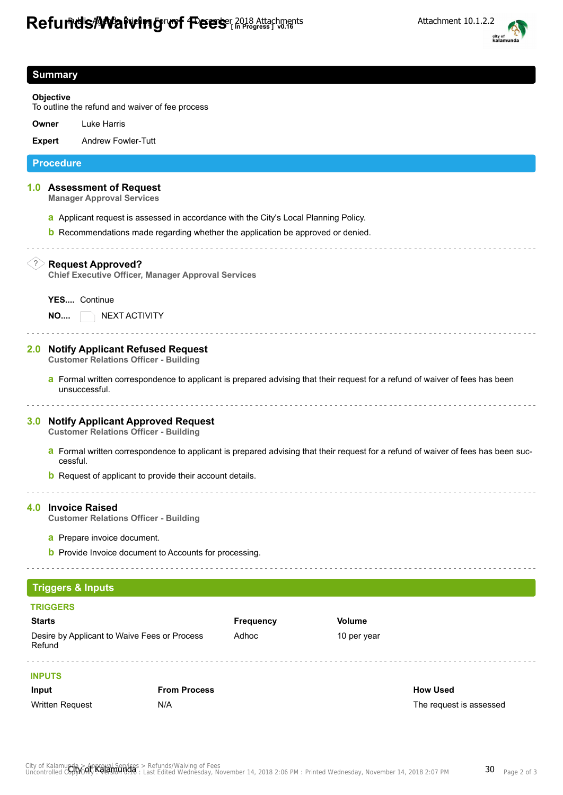# Refunds/Waiving of Fees<sup>2018</sup> Attachments Attachment 10.1.2.2



| <b>Summary</b>                                                                                                                                           |                                                                                                                                                                                                                                          |                                                                                                                                                                    |               |  |                         |
|----------------------------------------------------------------------------------------------------------------------------------------------------------|------------------------------------------------------------------------------------------------------------------------------------------------------------------------------------------------------------------------------------------|--------------------------------------------------------------------------------------------------------------------------------------------------------------------|---------------|--|-------------------------|
| <b>Objective</b>                                                                                                                                         |                                                                                                                                                                                                                                          |                                                                                                                                                                    |               |  |                         |
| To outline the refund and waiver of fee process                                                                                                          |                                                                                                                                                                                                                                          |                                                                                                                                                                    |               |  |                         |
|                                                                                                                                                          | Owner                                                                                                                                                                                                                                    | <b>Luke Harris</b>                                                                                                                                                 |               |  |                         |
|                                                                                                                                                          | <b>Expert</b>                                                                                                                                                                                                                            | <b>Andrew Fowler-Tutt</b>                                                                                                                                          |               |  |                         |
|                                                                                                                                                          | <b>Procedure</b>                                                                                                                                                                                                                         |                                                                                                                                                                    |               |  |                         |
|                                                                                                                                                          |                                                                                                                                                                                                                                          | 1.0 Assessment of Request<br><b>Manager Approval Services</b>                                                                                                      |               |  |                         |
|                                                                                                                                                          |                                                                                                                                                                                                                                          | a Applicant request is assessed in accordance with the City's Local Planning Policy.                                                                               |               |  |                         |
|                                                                                                                                                          |                                                                                                                                                                                                                                          | <b>b</b> Recommendations made regarding whether the application be approved or denied.                                                                             |               |  |                         |
| $\left( 3\right)$<br><b>Request Approved?</b><br><b>Chief Executive Officer, Manager Approval Services</b><br>YES Continue<br>NEXT ACTIVITY<br><b>NO</b> |                                                                                                                                                                                                                                          |                                                                                                                                                                    |               |  |                         |
| 2.0 <sub>1</sub>                                                                                                                                         | <b>Notify Applicant Refused Request</b><br><b>Customer Relations Officer - Building</b><br>a Formal written correspondence to applicant is prepared advising that their request for a refund of waiver of fees has been<br>unsuccessful. |                                                                                                                                                                    |               |  |                         |
| 3.0 <sub>1</sub>                                                                                                                                         |                                                                                                                                                                                                                                          | <b>Notify Applicant Approved Request</b><br><b>Customer Relations Officer - Building</b>                                                                           |               |  |                         |
|                                                                                                                                                          | cessful.                                                                                                                                                                                                                                 | a Formal written correspondence to applicant is prepared advising that their request for a refund of waiver of fees has been suc-                                  |               |  |                         |
|                                                                                                                                                          |                                                                                                                                                                                                                                          | <b>b</b> Request of applicant to provide their account details.                                                                                                    |               |  |                         |
|                                                                                                                                                          |                                                                                                                                                                                                                                          | 4.0 Invoice Raised<br><b>Customer Relations Officer - Building</b><br>a Prepare invoice document.<br><b>b</b> Provide Invoice document to Accounts for processing. |               |  |                         |
|                                                                                                                                                          |                                                                                                                                                                                                                                          |                                                                                                                                                                    |               |  |                         |
|                                                                                                                                                          |                                                                                                                                                                                                                                          | <b>Triggers &amp; Inputs</b>                                                                                                                                       |               |  |                         |
|                                                                                                                                                          | <b>TRIGGERS</b>                                                                                                                                                                                                                          |                                                                                                                                                                    |               |  |                         |
| <b>Starts</b>                                                                                                                                            |                                                                                                                                                                                                                                          | <b>Frequency</b>                                                                                                                                                   | <b>Volume</b> |  |                         |
| Adhoc<br>Desire by Applicant to Waive Fees or Process<br>10 per year<br>Refund                                                                           |                                                                                                                                                                                                                                          |                                                                                                                                                                    |               |  |                         |
|                                                                                                                                                          | <b>INPUTS</b>                                                                                                                                                                                                                            |                                                                                                                                                                    |               |  |                         |
| Input                                                                                                                                                    |                                                                                                                                                                                                                                          | <b>From Process</b>                                                                                                                                                |               |  | <b>How Used</b>         |
|                                                                                                                                                          | Written Request                                                                                                                                                                                                                          | N/A                                                                                                                                                                |               |  | The request is assessed |